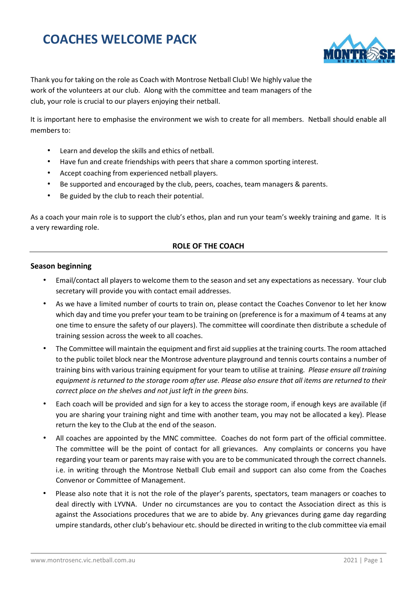# **COACHES WELCOME PACK**



Thank you for taking on the role as Coach with Montrose Netball Club! We highly value the work of the volunteers at our club. Along with the committee and team managers of the club, your role is crucial to our players enjoying their netball.

It is important here to emphasise the environment we wish to create for all members. Netball should enable all members to:

- Learn and develop the skills and ethics of netball.
- Have fun and create friendships with peers that share a common sporting interest.
- Accept coaching from experienced netball players.
- Be supported and encouraged by the club, peers, coaches, team managers & parents.
- Be guided by the club to reach their potential.

As a coach your main role is to support the club's ethos, plan and run your team's weekly training and game. It is a very rewarding role.

## **ROLE OF THE COACH**

#### **Season beginning**

- Email/contact all players to welcome them to the season and set any expectations as necessary. Your club secretary will provide you with contact email addresses.
- As we have a limited number of courts to train on, please contact the Coaches Convenor to let her know which day and time you prefer your team to be training on (preference is for a maximum of 4 teams at any one time to ensure the safety of our players). The committee will coordinate then distribute a schedule of training session across the week to all coaches.
- The Committee will maintain the equipment and first aid supplies at the training courts. The room attached to the public toilet block near the Montrose adventure playground and tennis courts contains a number of training bins with various training equipment for your team to utilise at training*. Please ensure all training equipment is returned to the storage room after use. Please also ensure that all items are returned to their correct place on the shelves and not just left in the green bins.*
- Each coach will be provided and sign for a key to access the storage room, if enough keys are available (if you are sharing your training night and time with another team, you may not be allocated a key). Please return the key to the Club at the end of the season.
- All coaches are appointed by the MNC committee. Coaches do not form part of the official committee. The committee will be the point of contact for all grievances. Any complaints or concerns you have regarding your team or parents may raise with you are to be communicated through the correct channels. i.e. in writing through the Montrose Netball Club email and support can also come from the Coaches Convenor or Committee of Management.
- Please also note that it is not the role of the player's parents, spectators, team managers or coaches to deal directly with LYVNA. Under no circumstances are you to contact the Association direct as this is against the Associations procedures that we are to abide by. Any grievances during game day regarding umpire standards, other club's behaviour etc. should be directed in writing to the club committee via email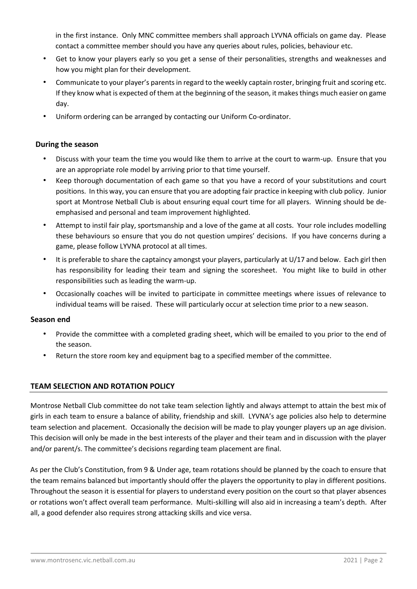in the first instance. Only MNC committee members shall approach LYVNA officials on game day. Please contact a committee member should you have any queries about rules, policies, behaviour etc.

- Get to know your players early so you get a sense of their personalities, strengths and weaknesses and how you might plan for their development.
- Communicate to your player's parents in regard to the weekly captain roster, bringing fruit and scoring etc. If they know what is expected of them at the beginning of the season, it makes things much easier on game day.
- Uniform ordering can be arranged by contacting our Uniform Co-ordinator.

## **During the season**

- Discuss with your team the time you would like them to arrive at the court to warm-up. Ensure that you are an appropriate role model by arriving prior to that time yourself.
- Keep thorough documentation of each game so that you have a record of your substitutions and court positions. In this way, you can ensure that you are adopting fair practice in keeping with club policy. Junior sport at Montrose Netball Club is about ensuring equal court time for all players. Winning should be deemphasised and personal and team improvement highlighted.
- Attempt to instil fair play, sportsmanship and a love of the game at all costs. Your role includes modelling these behaviours so ensure that you do not question umpires' decisions. If you have concerns during a game, please follow LYVNA protocol at all times.
- It is preferable to share the captaincy amongst your players, particularly at U/17 and below. Each girl then has responsibility for leading their team and signing the scoresheet. You might like to build in other responsibilities such as leading the warm-up.
- Occasionally coaches will be invited to participate in committee meetings where issues of relevance to individual teams will be raised. These will particularly occur at selection time prior to a new season.

## **Season end**

- Provide the committee with a completed grading sheet, which will be emailed to you prior to the end of the season.
- Return the store room key and equipment bag to a specified member of the committee.

## **TEAM SELECTION AND ROTATION POLICY**

Montrose Netball Club committee do not take team selection lightly and always attempt to attain the best mix of girls in each team to ensure a balance of ability, friendship and skill. LYVNA's age policies also help to determine team selection and placement. Occasionally the decision will be made to play younger players up an age division. This decision will only be made in the best interests of the player and their team and in discussion with the player and/or parent/s. The committee's decisions regarding team placement are final.

As per the Club's Constitution, from 9 & Under age, team rotations should be planned by the coach to ensure that the team remains balanced but importantly should offer the players the opportunity to play in different positions. Throughout the season it is essential for players to understand every position on the court so that player absences or rotations won't affect overall team performance. Multi-skilling will also aid in increasing a team's depth. After all, a good defender also requires strong attacking skills and vice versa.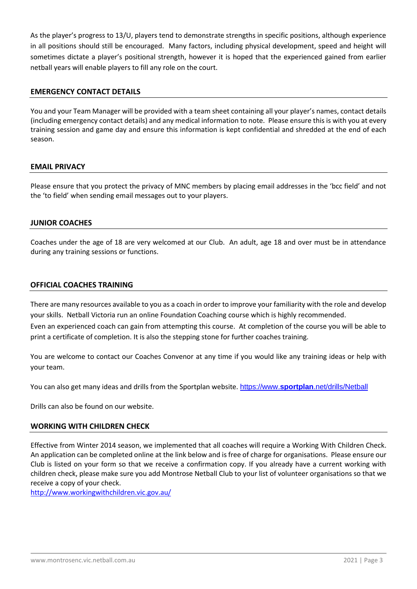As the player's progress to 13/U, players tend to demonstrate strengths in specific positions, although experience in all positions should still be encouraged. Many factors, including physical development, speed and height will sometimes dictate a player's positional strength, however it is hoped that the experienced gained from earlier netball years will enable players to fill any role on the court.

## **EMERGENCY CONTACT DETAILS**

You and your Team Manager will be provided with a team sheet containing all your player's names, contact details (including emergency contact details) and any medical information to note. Please ensure this is with you at every training session and game day and ensure this information is kept confidential and shredded at the end of each season.

## **EMAIL PRIVACY**

Please ensure that you protect the privacy of MNC members by placing email addresses in the 'bcc field' and not the 'to field' when sending email messages out to your players.

#### **JUNIOR COACHES**

Coaches under the age of 18 are very welcomed at our Club. An adult, age 18 and over must be in attendance during any training sessions or functions.

#### **OFFICIAL COACHES TRAINING**

There are many resources available to you as a coach in order to improve your familiarity with the role and develop your skills. Netball Victoria run an online Foundation Coaching course which is highly recommended. Even an experienced coach can gain from attempting this course. At completion of the course you will be able to print a certificate of completion. It is also the stepping stone for further coaches training.

You are welcome to contact our Coaches Convenor at any time if you would like any training ideas or help with your team.

You can also get many ideas and drills from the Sportplan website. https://www.**sportplan**[.net/drills/Netball](https://www.sportplan.net/drills/Netball)

Drills can also be found on our website.

#### **WORKING WITH CHILDREN CHECK**

Effective from Winter 2014 season, we implemented that all coaches will require a Working With Children Check. An application can be completed online at the link below and is free of charge for organisations. Please ensure our Club is listed on your form so that we receive a confirmation copy. If you already have a current working with children check, please make sure you add Montrose Netball Club to your list of volunteer organisations so that we receive a copy of your check.

<http://www.workingwithchildren.vic.gov.au/>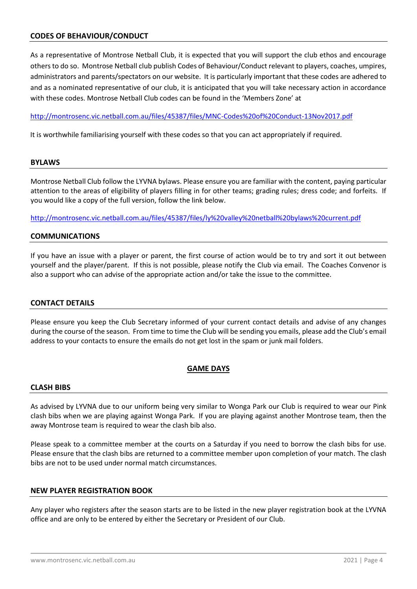## **CODES OF BEHAVIOUR/CONDUCT**

As a representative of Montrose Netball Club, it is expected that you will support the club ethos and encourage others to do so. Montrose Netball club publish Codes of Behaviour/Conduct relevant to players, coaches, umpires, administrators and parents/spectators on our website. It is particularly important that these codes are adhered to and as a nominated representative of our club, it is anticipated that you will take necessary action in accordance with these codes. Montrose Netball Club codes can be found in the 'Members Zone' at

<http://montrosenc.vic.netball.com.au/files/45387/files/MNC-Codes%20of%20Conduct-13Nov2017.pdf>

It is worthwhile familiarising yourself with these codes so that you can act appropriately if required.

#### **BYLAWS**

Montrose Netball Club follow the LYVNA bylaws. Please ensure you are familiar with the content, paying particular attention to the areas of eligibility of players filling in for other teams; grading rules; dress code; and forfeits. If you would like a copy of the full version, follow the link below.

<http://montrosenc.vic.netball.com.au/files/45387/files/ly%20valley%20netball%20bylaws%20current.pdf>

#### **COMMUNICATIONS**

If you have an issue with a player or parent, the first course of action would be to try and sort it out between yourself and the player/parent. If this is not possible, please notify the Club via email. The Coaches Convenor is also a support who can advise of the appropriate action and/or take the issue to the committee.

#### **CONTACT DETAILS**

Please ensure you keep the Club Secretary informed of your current contact details and advise of any changes during the course of the season. From time to time the Club will be sending you emails, please add the Club's email address to your contacts to ensure the emails do not get lost in the spam or junk mail folders.

#### **GAME DAYS**

#### **CLASH BIBS**

As advised by LYVNA due to our uniform being very similar to Wonga Park our Club is required to wear our Pink clash bibs when we are playing against Wonga Park. If you are playing against another Montrose team, then the away Montrose team is required to wear the clash bib also.

Please speak to a committee member at the courts on a Saturday if you need to borrow the clash bibs for use. Please ensure that the clash bibs are returned to a committee member upon completion of your match. The clash bibs are not to be used under normal match circumstances.

#### **NEW PLAYER REGISTRATION BOOK**

Any player who registers after the season starts are to be listed in the new player registration book at the LYVNA office and are only to be entered by either the Secretary or President of our Club.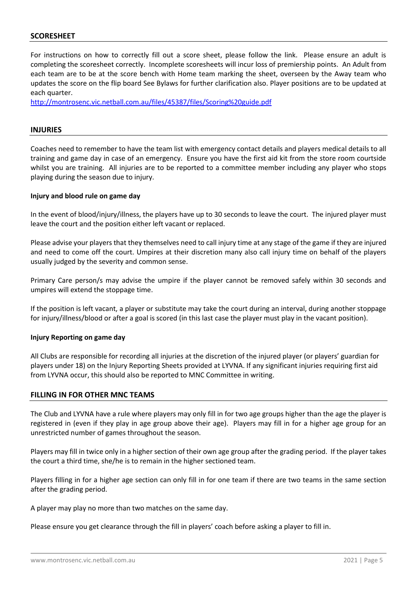#### **SCORESHEET**

For instructions on how to correctly fill out a score sheet, please follow the link. Please ensure an adult is completing the scoresheet correctly. Incomplete scoresheets will incur loss of premiership points. An Adult from each team are to be at the score bench with Home team marking the sheet, overseen by the Away team who updates the score on the flip board See Bylaws for further clarification also. Player positions are to be updated at each quarter.

<http://montrosenc.vic.netball.com.au/files/45387/files/Scoring%20guide.pdf>

#### **INJURIES**

Coaches need to remember to have the team list with emergency contact details and players medical details to all training and game day in case of an emergency. Ensure you have the first aid kit from the store room courtside whilst you are training. All injuries are to be reported to a committee member including any player who stops playing during the season due to injury.

#### **Injury and blood rule on game day**

In the event of blood/injury/illness, the players have up to 30 seconds to leave the court. The injured player must leave the court and the position either left vacant or replaced.

Please advise your players that they themselves need to call injury time at any stage of the game if they are injured and need to come off the court. Umpires at their discretion many also call injury time on behalf of the players usually judged by the severity and common sense.

Primary Care person/s may advise the umpire if the player cannot be removed safely within 30 seconds and umpires will extend the stoppage time.

If the position is left vacant, a player or substitute may take the court during an interval, during another stoppage for injury/illness/blood or after a goal is scored (in this last case the player must play in the vacant position).

#### **Injury Reporting on game day**

All Clubs are responsible for recording all injuries at the discretion of the injured player (or players' guardian for players under 18) on the Injury Reporting Sheets provided at LYVNA. If any significant injuries requiring first aid from LYVNA occur, this should also be reported to MNC Committee in writing.

#### **FILLING IN FOR OTHER MNC TEAMS**

The Club and LYVNA have a rule where players may only fill in for two age groups higher than the age the player is registered in (even if they play in age group above their age). Players may fill in for a higher age group for an unrestricted number of games throughout the season.

Players may fill in twice only in a higher section of their own age group after the grading period. If the player takes the court a third time, she/he is to remain in the higher sectioned team.

Players filling in for a higher age section can only fill in for one team if there are two teams in the same section after the grading period.

A player may play no more than two matches on the same day.

Please ensure you get clearance through the fill in players' coach before asking a player to fill in.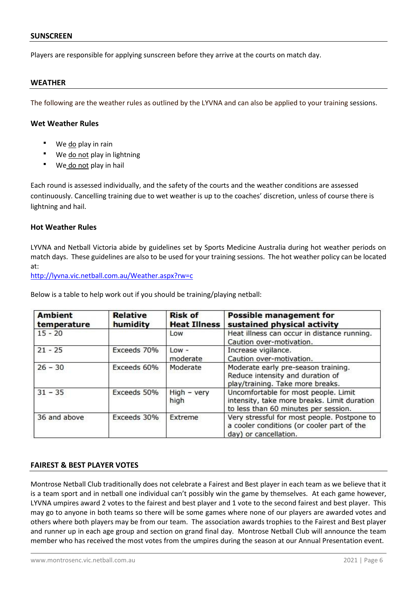#### **SUNSCREEN**

Players are responsible for applying sunscreen before they arrive at the courts on match day.

#### **WEATHER**

The following are the weather rules as outlined by the LYVNA and can also be applied to your training sessions.

#### **Wet Weather Rules**

- We do play in rain
- We do not play in lightning
- We do not play in hail

Each round is assessed individually, and the safety of the courts and the weather conditions are assessed continuously. Cancelling training due to wet weather is up to the coaches' discretion, unless of course there is lightning and hail.

#### **Hot Weather Rules**

LYVNA and Netball Victoria abide by guidelines set by Sports Medicine Australia during hot weather periods on match days. These guidelines are also to be used for your training sessions. The hot weather policy can be located at:

<http://lyvna.vic.netball.com.au/Weather.aspx?rw=c>

Below is a table to help work out if you should be training/playing netball:

| <b>Ambient</b><br>temperature | <b>Relative</b><br>humidity | <b>Risk of</b><br><b>Heat Illness</b> | <b>Possible management for</b><br>sustained physical activity                                                               |
|-------------------------------|-----------------------------|---------------------------------------|-----------------------------------------------------------------------------------------------------------------------------|
| $15 - 20$                     |                             | Low                                   | Heat illness can occur in distance running.<br>Caution over-motivation.                                                     |
| $21 - 25$                     | Exceeds 70%                 | $Low -$<br>moderate                   | Increase vigilance.<br>Caution over-motivation.                                                                             |
| $26 - 30$                     | Exceeds 60%                 | Moderate                              | Moderate early pre-season training.<br>Reduce intensity and duration of<br>play/training. Take more breaks.                 |
| $31 - 35$                     | Exceeds 50%                 | $High - very$<br>high                 | Uncomfortable for most people. Limit<br>intensity, take more breaks. Limit duration<br>to less than 60 minutes per session. |
| 36 and above                  | Exceeds 30%                 | Extreme                               | Very stressful for most people. Postpone to<br>a cooler conditions (or cooler part of the<br>day) or cancellation.          |

#### **FAIREST & BEST PLAYER VOTES**

Montrose Netball Club traditionally does not celebrate a Fairest and Best player in each team as we believe that it is a team sport and in netball one individual can't possibly win the game by themselves. At each game however, LYVNA umpires award 2 votes to the fairest and best player and 1 vote to the second fairest and best player. This may go to anyone in both teams so there will be some games where none of our players are awarded votes and others where both players may be from our team. The association awards trophies to the Fairest and Best player and runner up in each age group and section on grand final day. Montrose Netball Club will announce the team member who has received the most votes from the umpires during the season at our Annual Presentation event.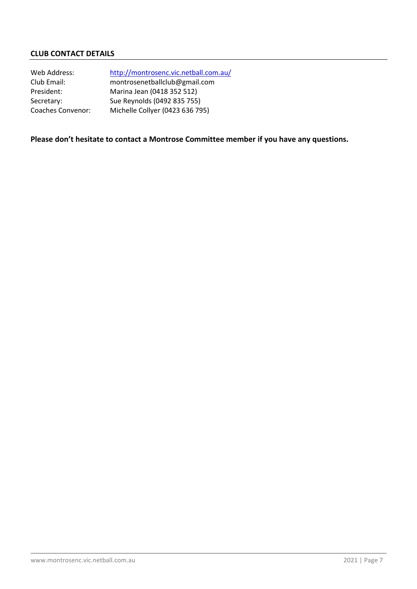## **CLUB CONTACT DETAILS**

| Web Address:             | http://montrosenc.vic.netball.com.au/ |
|--------------------------|---------------------------------------|
| Club Email:              | montrosenetballclub@gmail.com         |
| President:               | Marina Jean (0418 352 512)            |
| Secretary:               | Sue Reynolds (0492 835 755)           |
| <b>Coaches Convenor:</b> | Michelle Collyer (0423 636 795)       |

## **Please don't hesitate to contact a Montrose Committee member if you have any questions.**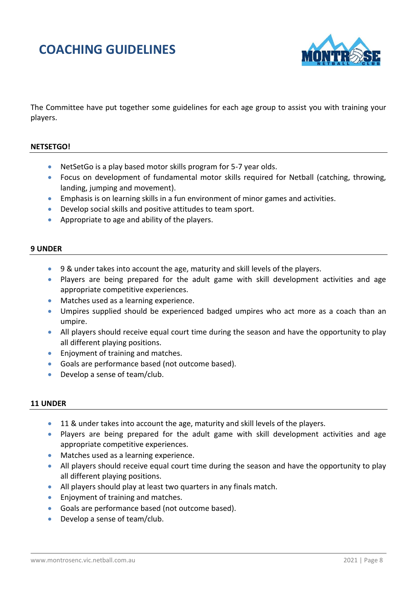## **COACHING GUIDELINES**



The Committee have put together some guidelines for each age group to assist you with training your players.

## **NETSETGO!**

- Net Set Go is a play based motor skills program for 5-7 year olds.
- Focus on development of fundamental motor skills required for Netball (catching, throwing, landing, jumping and movement).
- Emphasis is on learning skills in a fun environment of minor games and activities.
- Develop social skills and positive attitudes to team sport.
- Appropriate to age and ability of the players.

#### **9 UNDER**

- 9 & under takes into account the age, maturity and skill levels of the players.
- Players are being prepared for the adult game with skill development activities and age appropriate competitive experiences.
- Matches used as a learning experience.
- Umpires supplied should be experienced badged umpires who act more as a coach than an umpire.
- All players should receive equal court time during the season and have the opportunity to play all different playing positions.
- Enjoyment of training and matches.
- Goals are performance based (not outcome based).
- Develop a sense of team/club.

#### **11 UNDER**

- 11 & under takes into account the age, maturity and skill levels of the players.
- Players are being prepared for the adult game with skill development activities and age appropriate competitive experiences.
- Matches used as a learning experience.
- All players should receive equal court time during the season and have the opportunity to play all different playing positions.
- All players should play at least two quarters in any finals match.
- Enjoyment of training and matches.
- Goals are performance based (not outcome based).
- Develop a sense of team/club.